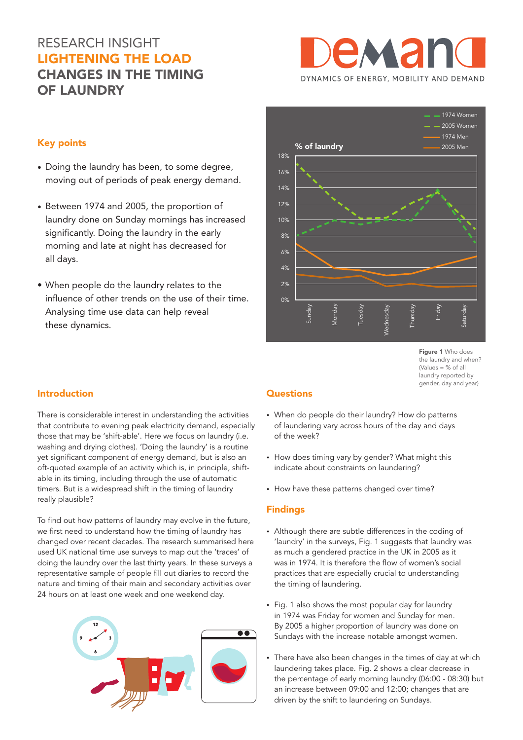# RESEARCH INSIGHT LIGHTENING THE LOAD CHANGES IN THE TIMING OF LAUNDRY



## Key points

- Doing the laundry has been, to some degree, moving out of periods of peak energy demand.
- Between 1974 and 2005, the proportion of laundry done on Sunday mornings has increased significantly. Doing the laundry in the early morning and late at night has decreased for all days.
- When people do the laundry relates to the influence of other trends on the use of their time. Analysing time use data can help reveal these dynamics.

## 0% 2%  $10/2$ 6% 8% 10% 12% 14% 16% 18% Sunday Monday Tuesday Wednesday Thursday Friday Saturday % of laundry 1974 Women 2005 Women 1974 Men 2005 Men

Figure 1 Who does the laundry and when? (Values = % of all laundry reported by gender, day and year)

## Introduction

There is considerable interest in understanding the activities that contribute to evening peak electricity demand, especially those that may be 'shift-able'. Here we focus on laundry (i.e. washing and drying clothes). 'Doing the laundry' is a routine yet significant component of energy demand, but is also an oft-quoted example of an activity which is, in principle, shiftable in its timing, including through the use of automatic timers. But is a widespread shift in the timing of laundry really plausible?

To find out how patterns of laundry may evolve in the future, we first need to understand how the timing of laundry has changed over recent decades. The research summarised here used UK national time use surveys to map out the 'traces' of doing the laundry over the last thirty years. In these surveys a representative sample of people fill out diaries to record the nature and timing of their main and secondary activities over 24 hours on at least one week and one weekend day.



# **Questions**

- When do people do their laundry? How do patterns of laundering vary across hours of the day and days of the week?
- How does timing vary by gender? What might this indicate about constraints on laundering?
- How have these patterns changed over time?

## Findings

- Although there are subtle differences in the coding of 'laundry' in the surveys, Fig. 1 suggests that laundry was as much a gendered practice in the UK in 2005 as it was in 1974. It is therefore the flow of women's social practices that are especially crucial to understanding the timing of laundering.
- Fig. 1 also shows the most popular day for laundry in 1974 was Friday for women and Sunday for men. By 2005 a higher proportion of laundry was done on Sundays with the increase notable amongst women.
- There have also been changes in the times of day at which laundering takes place. Fig. 2 shows a clear decrease in the percentage of early morning laundry (06:00 - 08:30) but an increase between 09:00 and 12:00; changes that are driven by the shift to laundering on Sundays.